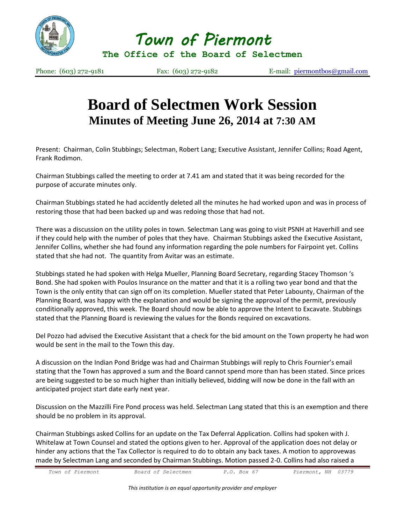

*Town of Piermont* 

**The Office of the Board of Selectmen**

Phone: (603) 272-9181 Fax: (603) 272-9182 E-mail: [piermontbos@gmail.com](mailto:piermontbos@gmail.com)

## **Board of Selectmen Work Session Minutes of Meeting June 26, 2014 at 7:30 AM**

Present: Chairman, Colin Stubbings; Selectman, Robert Lang; Executive Assistant, Jennifer Collins; Road Agent, Frank Rodimon.

Chairman Stubbings called the meeting to order at 7.41 am and stated that it was being recorded for the purpose of accurate minutes only.

Chairman Stubbings stated he had accidently deleted all the minutes he had worked upon and was in process of restoring those that had been backed up and was redoing those that had not.

There was a discussion on the utility poles in town. Selectman Lang was going to visit PSNH at Haverhill and see if they could help with the number of poles that they have. Chairman Stubbings asked the Executive Assistant, Jennifer Collins, whether she had found any information regarding the pole numbers for Fairpoint yet. Collins stated that she had not. The quantity from Avitar was an estimate.

Stubbings stated he had spoken with Helga Mueller, Planning Board Secretary, regarding Stacey Thomson 's Bond. She had spoken with Poulos Insurance on the matter and that it is a rolling two year bond and that the Town is the only entity that can sign off on its completion. Mueller stated that Peter Labounty, Chairman of the Planning Board, was happy with the explanation and would be signing the approval of the permit, previously conditionally approved, this week. The Board should now be able to approve the Intent to Excavate. Stubbings stated that the Planning Board is reviewing the values for the Bonds required on excavations.

Del Pozzo had advised the Executive Assistant that a check for the bid amount on the Town property he had won would be sent in the mail to the Town this day.

A discussion on the Indian Pond Bridge was had and Chairman Stubbings will reply to Chris Fournier's email stating that the Town has approved a sum and the Board cannot spend more than has been stated. Since prices are being suggested to be so much higher than initially believed, bidding will now be done in the fall with an anticipated project start date early next year.

Discussion on the Mazzilli Fire Pond process was held. Selectman Lang stated that this is an exemption and there should be no problem in its approval.

Chairman Stubbings asked Collins for an update on the Tax Deferral Application. Collins had spoken with J. Whitelaw at Town Counsel and stated the options given to her. Approval of the application does not delay or hinder any actions that the Tax Collector is required to do to obtain any back taxes. A motion to approvewas made by Selectman Lang and seconded by Chairman Stubbings. Motion passed 2-0. Collins had also raised a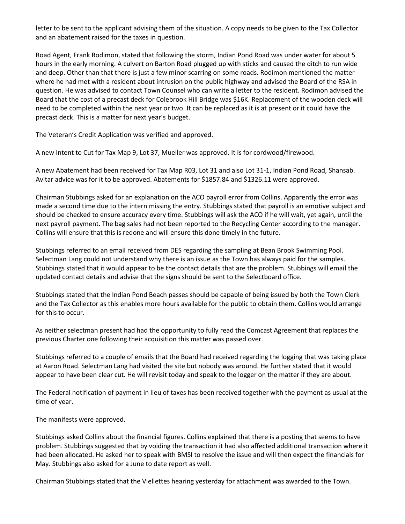letter to be sent to the applicant advising them of the situation. A copy needs to be given to the Tax Collector and an abatement raised for the taxes in question.

Road Agent, Frank Rodimon, stated that following the storm, Indian Pond Road was under water for about 5 hours in the early morning. A culvert on Barton Road plugged up with sticks and caused the ditch to run wide and deep. Other than that there is just a few minor scarring on some roads. Rodimon mentioned the matter where he had met with a resident about intrusion on the public highway and advised the Board of the RSA in question. He was advised to contact Town Counsel who can write a letter to the resident. Rodimon advised the Board that the cost of a precast deck for Colebrook Hill Bridge was \$16K. Replacement of the wooden deck will need to be completed within the next year or two. It can be replaced as it is at present or it could have the precast deck. This is a matter for next year's budget.

The Veteran's Credit Application was verified and approved.

A new Intent to Cut for Tax Map 9, Lot 37, Mueller was approved. It is for cordwood/firewood.

A new Abatement had been received for Tax Map R03, Lot 31 and also Lot 31-1, Indian Pond Road, Shansab. Avitar advice was for it to be approved. Abatements for \$1857.84 and \$1326.11 were approved.

Chairman Stubbings asked for an explanation on the ACO payroll error from Collins. Apparently the error was made a second time due to the intern missing the entry. Stubbings stated that payroll is an emotive subject and should be checked to ensure accuracy every time. Stubbings will ask the ACO if he will wait, yet again, until the next payroll payment. The bag sales had not been reported to the Recycling Center according to the manager. Collins will ensure that this is redone and will ensure this done timely in the future.

Stubbings referred to an email received from DES regarding the sampling at Bean Brook Swimming Pool. Selectman Lang could not understand why there is an issue as the Town has always paid for the samples. Stubbings stated that it would appear to be the contact details that are the problem. Stubbings will email the updated contact details and advise that the signs should be sent to the Selectboard office.

Stubbings stated that the Indian Pond Beach passes should be capable of being issued by both the Town Clerk and the Tax Collector as this enables more hours available for the public to obtain them. Collins would arrange for this to occur.

As neither selectman present had had the opportunity to fully read the Comcast Agreement that replaces the previous Charter one following their acquisition this matter was passed over.

Stubbings referred to a couple of emails that the Board had received regarding the logging that was taking place at Aaron Road. Selectman Lang had visited the site but nobody was around. He further stated that it would appear to have been clear cut. He will revisit today and speak to the logger on the matter if they are about.

The Federal notification of payment in lieu of taxes has been received together with the payment as usual at the time of year.

The manifests were approved.

Stubbings asked Collins about the financial figures. Collins explained that there is a posting that seems to have problem. Stubbings suggested that by voiding the transaction it had also affected additional transaction where it had been allocated. He asked her to speak with BMSI to resolve the issue and will then expect the financials for May. Stubbings also asked for a June to date report as well.

Chairman Stubbings stated that the Viellettes hearing yesterday for attachment was awarded to the Town.